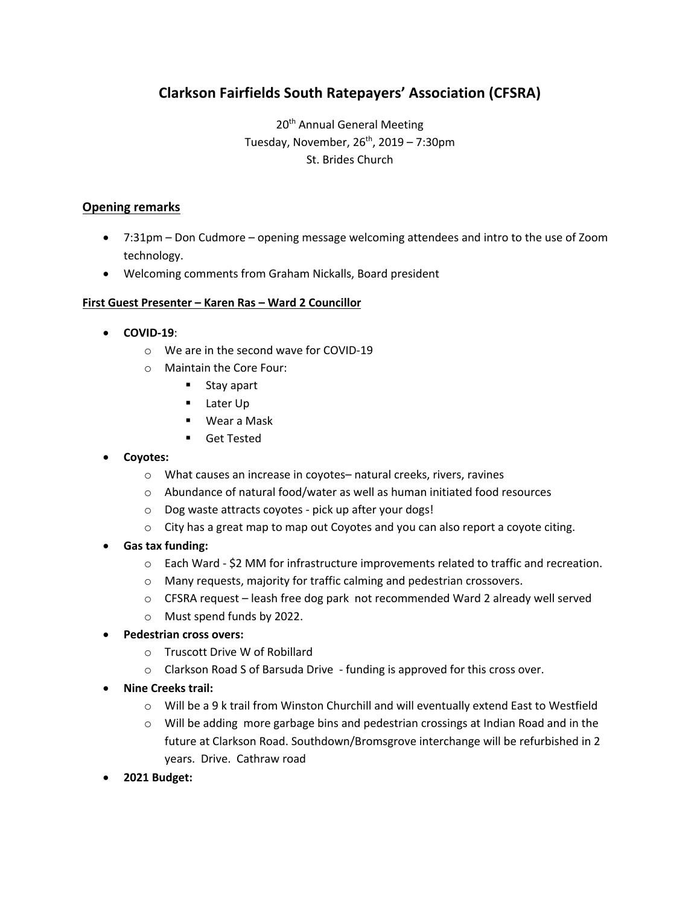# **Clarkson Fairfields South Ratepayers' Association (CFSRA)**

20<sup>th</sup> Annual General Meeting Tuesday, November,  $26<sup>th</sup>$ , 2019 – 7:30pm St. Brides Church

## **Opening remarks**

- 7:31pm Don Cudmore opening message welcoming attendees and intro to the use of Zoom technology.
- Welcoming comments from Graham Nickalls, Board president

#### **First Guest Presenter – Karen Ras – Ward 2 Councillor**

- **COVID-19**:
	- o We are in the second wave for COVID-19
	- o Maintain the Core Four:
		- ! Stay apart
		- Later Up
		- ! Wear a Mask
		- ! Get Tested
- **Coyotes:**
	- o What causes an increase in coyotes– natural creeks, rivers, ravines
	- o Abundance of natural food/water as well as human initiated food resources
	- o Dog waste attracts coyotes pick up after your dogs!
	- $\circ$  City has a great map to map out Coyotes and you can also report a coyote citing.
- **Gas tax funding:**
	- $\circ$  Each Ward \$2 MM for infrastructure improvements related to traffic and recreation.
	- o Many requests, majority for traffic calming and pedestrian crossovers.
	- o CFSRA request leash free dog park not recommended Ward 2 already well served
	- o Must spend funds by 2022.
- **Pedestrian cross overs:**
	- o Truscott Drive W of Robillard
	- $\circ$  Clarkson Road S of Barsuda Drive funding is approved for this cross over.
- **Nine Creeks trail:**
	- o Will be a 9 k trail from Winston Churchill and will eventually extend East to Westfield
	- $\circ$  Will be adding more garbage bins and pedestrian crossings at Indian Road and in the future at Clarkson Road. Southdown/Bromsgrove interchange will be refurbished in 2 years. Drive. Cathraw road
- **2021 Budget:**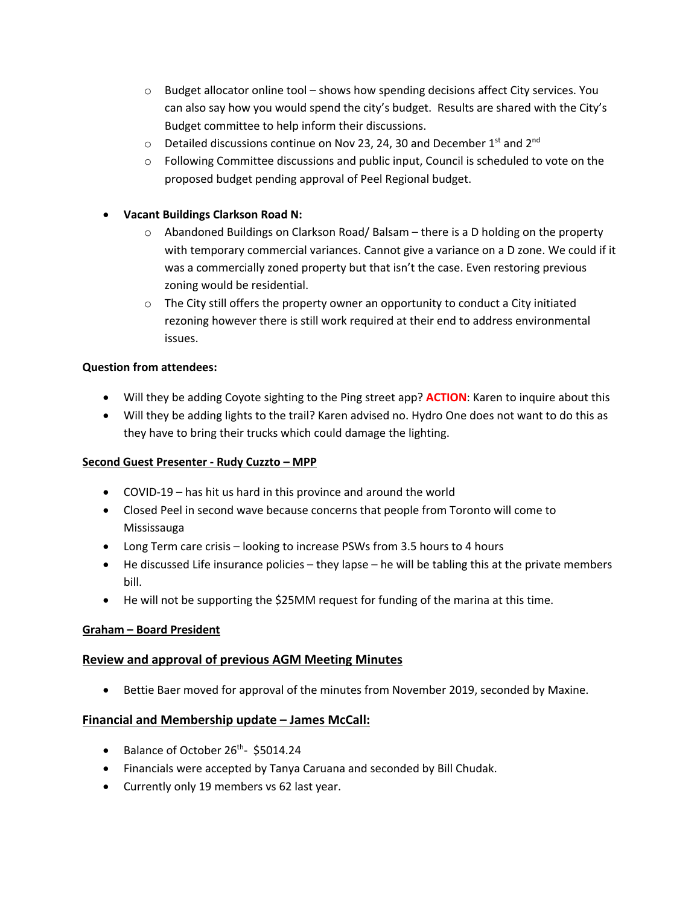- $\circ$  Budget allocator online tool shows how spending decisions affect City services. You can also say how you would spend the city's budget. Results are shared with the City's Budget committee to help inform their discussions.
- $\circ$  Detailed discussions continue on Nov 23, 24, 30 and December 1<sup>st</sup> and 2<sup>nd</sup>
- $\circ$  Following Committee discussions and public input, Council is scheduled to vote on the proposed budget pending approval of Peel Regional budget.
- **Vacant Buildings Clarkson Road N:**
	- $\circ$  Abandoned Buildings on Clarkson Road/Balsam there is a D holding on the property with temporary commercial variances. Cannot give a variance on a D zone. We could if it was a commercially zoned property but that isn't the case. Even restoring previous zoning would be residential.
	- $\circ$  The City still offers the property owner an opportunity to conduct a City initiated rezoning however there is still work required at their end to address environmental issues.

# **Question from attendees:**

- Will they be adding Coyote sighting to the Ping street app? **ACTION**: Karen to inquire about this
- Will they be adding lights to the trail? Karen advised no. Hydro One does not want to do this as they have to bring their trucks which could damage the lighting.

#### **Second Guest Presenter - Rudy Cuzzto – MPP**

- COVID-19 has hit us hard in this province and around the world
- Closed Peel in second wave because concerns that people from Toronto will come to Mississauga
- Long Term care crisis looking to increase PSWs from 3.5 hours to 4 hours
- He discussed Life insurance policies they lapse he will be tabling this at the private members bill.
- He will not be supporting the \$25MM request for funding of the marina at this time.

# **Graham – Board President**

# **Review and approval of previous AGM Meeting Minutes**

• Bettie Baer moved for approval of the minutes from November 2019, seconded by Maxine.

#### **Financial and Membership update – James McCall:**

- Balance of October 26<sup>th</sup>- \$5014.24
- Financials were accepted by Tanya Caruana and seconded by Bill Chudak.
- Currently only 19 members vs 62 last year.